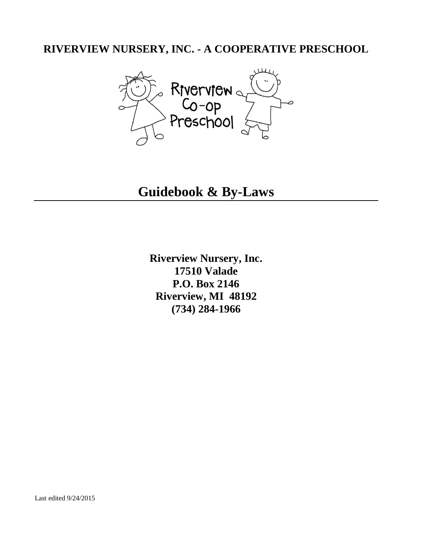## **RIVERVIEW NURSERY, INC. - A COOPERATIVE PRESCHOOL**



**Guidebook & By-Laws**

**Riverview Nursery, Inc. 17510 Valade P.O. Box 2146 Riverview, MI 48192 (734) 284-1966**

Last edited 9/24/2015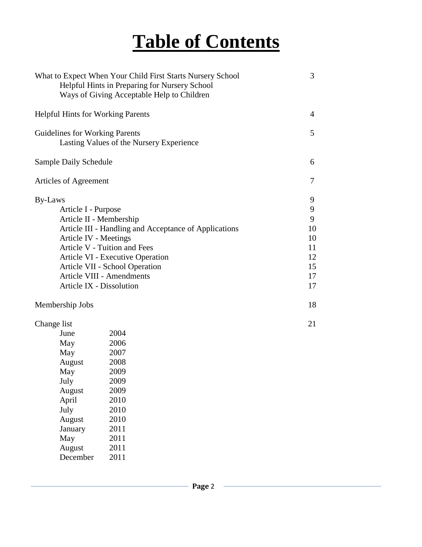# **Table of Contents**

|                                                                                                                                                                                                                                                                                                                                      | What to Expect When Your Child First Starts Nursery School<br>Helpful Hints in Preparing for Nursery School<br>Ways of Giving Acceptable Help to Children | 3                                                           |
|--------------------------------------------------------------------------------------------------------------------------------------------------------------------------------------------------------------------------------------------------------------------------------------------------------------------------------------|-----------------------------------------------------------------------------------------------------------------------------------------------------------|-------------------------------------------------------------|
| <b>Helpful Hints for Working Parents</b>                                                                                                                                                                                                                                                                                             |                                                                                                                                                           | 4                                                           |
| Guidelines for Working Parents<br>Lasting Values of the Nursery Experience                                                                                                                                                                                                                                                           |                                                                                                                                                           | $\mathfrak{S}$                                              |
| Sample Daily Schedule                                                                                                                                                                                                                                                                                                                |                                                                                                                                                           | 6                                                           |
| Articles of Agreement                                                                                                                                                                                                                                                                                                                |                                                                                                                                                           | 7                                                           |
| By-Laws<br>Article I - Purpose<br>Article II - Membership<br>Article III - Handling and Acceptance of Applications<br>Article IV - Meetings<br>Article V - Tuition and Fees<br>Article VI - Executive Operation<br>Article VII - School Operation<br><b>Article VIII - Amendments</b><br>Article IX - Dissolution<br>Membership Jobs |                                                                                                                                                           | 9<br>9<br>9<br>10<br>10<br>11<br>12<br>15<br>17<br>17<br>18 |
| Change list<br>June<br>May<br>May<br>August<br>May<br>July<br>August<br>April<br>July<br>August<br>January<br>May<br>August<br>December                                                                                                                                                                                              | 2004<br>2006<br>2007<br>2008<br>2009<br>2009<br>2009<br>2010<br>2010<br>2010<br>2011<br>2011<br>2011<br>2011                                              | 21                                                          |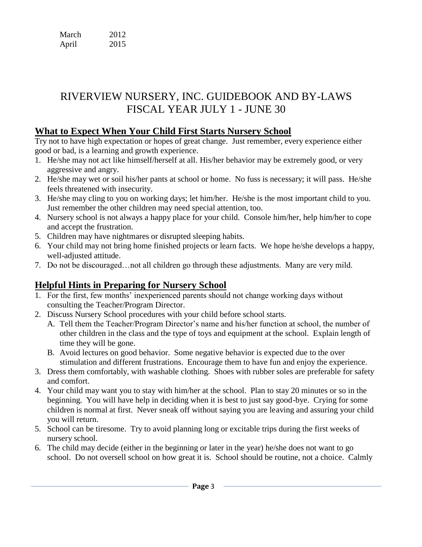| March | 2012 |
|-------|------|
| April | 2015 |

# RIVERVIEW NURSERY, INC. GUIDEBOOK AND BY-LAWS FISCAL YEAR JULY 1 - JUNE 30

## **What to Expect When Your Child First Starts Nursery School**

Try not to have high expectation or hopes of great change. Just remember, every experience either good or bad, is a learning and growth experience.

- 1. He/she may not act like himself/herself at all. His/her behavior may be extremely good, or very aggressive and angry.
- 2. He/she may wet or soil his/her pants at school or home. No fuss is necessary; it will pass. He/she feels threatened with insecurity.
- 3. He/she may cling to you on working days; let him/her. He/she is the most important child to you. Just remember the other children may need special attention, too.
- 4. Nursery school is not always a happy place for your child. Console him/her, help him/her to cope and accept the frustration.
- 5. Children may have nightmares or disrupted sleeping habits.
- 6. Your child may not bring home finished projects or learn facts. We hope he/she develops a happy, well-adjusted attitude.
- 7. Do not be discouraged…not all children go through these adjustments. Many are very mild.

## **Helpful Hints in Preparing for Nursery School**

- 1. For the first, few months' inexperienced parents should not change working days without consulting the Teacher/Program Director.
- 2. Discuss Nursery School procedures with your child before school starts.
	- A. Tell them the Teacher/Program Director's name and his/her function at school, the number of other children in the class and the type of toys and equipment at the school. Explain length of time they will be gone.
	- B. Avoid lectures on good behavior. Some negative behavior is expected due to the over stimulation and different frustrations. Encourage them to have fun and enjoy the experience.
- 3. Dress them comfortably, with washable clothing. Shoes with rubber soles are preferable for safety and comfort.
- 4. Your child may want you to stay with him/her at the school. Plan to stay 20 minutes or so in the beginning. You will have help in deciding when it is best to just say good-bye. Crying for some children is normal at first. Never sneak off without saying you are leaving and assuring your child you will return.
- 5. School can be tiresome. Try to avoid planning long or excitable trips during the first weeks of nursery school.
- 6. The child may decide (either in the beginning or later in the year) he/she does not want to go school. Do not oversell school on how great it is. School should be routine, not a choice. Calmly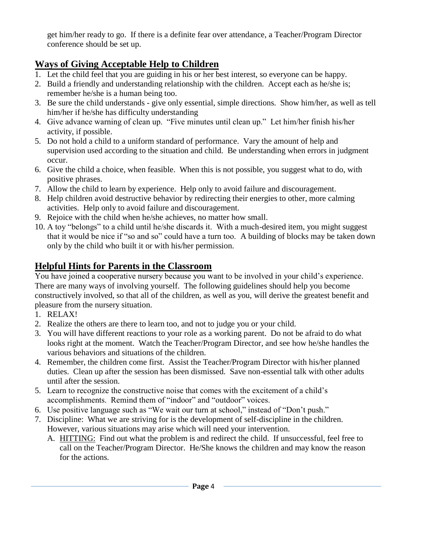get him/her ready to go. If there is a definite fear over attendance, a Teacher/Program Director conference should be set up.

## **Ways of Giving Acceptable Help to Children**

- 1. Let the child feel that you are guiding in his or her best interest, so everyone can be happy.
- 2. Build a friendly and understanding relationship with the children. Accept each as he/she is; remember he/she is a human being too.
- 3. Be sure the child understands give only essential, simple directions. Show him/her, as well as tell him/her if he/she has difficulty understanding
- 4. Give advance warning of clean up. "Five minutes until clean up." Let him/her finish his/her activity, if possible.
- 5. Do not hold a child to a uniform standard of performance. Vary the amount of help and supervision used according to the situation and child. Be understanding when errors in judgment occur.
- 6. Give the child a choice, when feasible. When this is not possible, you suggest what to do, with positive phrases.
- 7. Allow the child to learn by experience. Help only to avoid failure and discouragement.
- 8. Help children avoid destructive behavior by redirecting their energies to other, more calming activities. Help only to avoid failure and discouragement.
- 9. Rejoice with the child when he/she achieves, no matter how small.
- 10. A toy "belongs" to a child until he/she discards it. With a much-desired item, you might suggest that it would be nice if "so and so" could have a turn too. A building of blocks may be taken down only by the child who built it or with his/her permission.

## **Helpful Hints for Parents in the Classroom**

You have joined a cooperative nursery because you want to be involved in your child's experience. There are many ways of involving yourself. The following guidelines should help you become constructively involved, so that all of the children, as well as you, will derive the greatest benefit and pleasure from the nursery situation.

- 1. RELAX!
- 2. Realize the others are there to learn too, and not to judge you or your child.
- 3. You will have different reactions to your role as a working parent. Do not be afraid to do what looks right at the moment. Watch the Teacher/Program Director, and see how he/she handles the various behaviors and situations of the children.
- 4. Remember, the children come first. Assist the Teacher/Program Director with his/her planned duties. Clean up after the session has been dismissed. Save non-essential talk with other adults until after the session.
- 5. Learn to recognize the constructive noise that comes with the excitement of a child's accomplishments. Remind them of "indoor" and "outdoor" voices.
- 6. Use positive language such as "We wait our turn at school," instead of "Don't push."
- 7. Discipline: What we are striving for is the development of self-discipline in the children. However, various situations may arise which will need your intervention.
	- A. HITTING: Find out what the problem is and redirect the child. If unsuccessful, feel free to call on the Teacher/Program Director. He/She knows the children and may know the reason for the actions.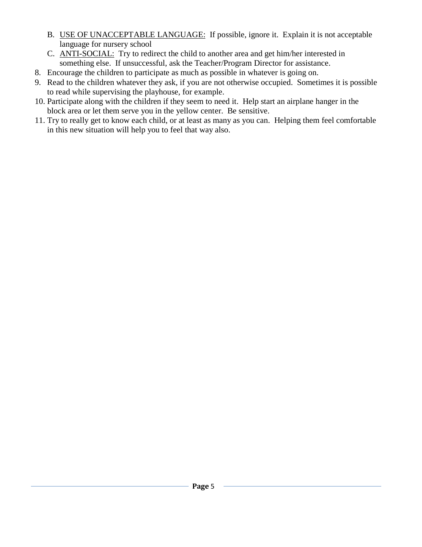- B. USE OF UNACCEPTABLE LANGUAGE: If possible, ignore it. Explain it is not acceptable language for nursery school
- C. ANTI-SOCIAL: Try to redirect the child to another area and get him/her interested in something else. If unsuccessful, ask the Teacher/Program Director for assistance.
- 8. Encourage the children to participate as much as possible in whatever is going on.
- 9. Read to the children whatever they ask, if you are not otherwise occupied. Sometimes it is possible to read while supervising the playhouse, for example.
- 10. Participate along with the children if they seem to need it. Help start an airplane hanger in the block area or let them serve you in the yellow center. Be sensitive.
- 11. Try to really get to know each child, or at least as many as you can. Helping them feel comfortable in this new situation will help you to feel that way also.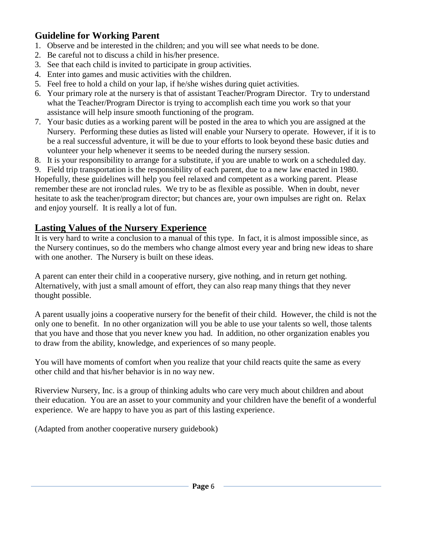## **Guideline for Working Parent**

- 1. Observe and be interested in the children; and you will see what needs to be done.
- 2. Be careful not to discuss a child in his/her presence.
- 3. See that each child is invited to participate in group activities.
- 4. Enter into games and music activities with the children.
- 5. Feel free to hold a child on your lap, if he/she wishes during quiet activities.
- 6. Your primary role at the nursery is that of assistant Teacher/Program Director. Try to understand what the Teacher/Program Director is trying to accomplish each time you work so that your assistance will help insure smooth functioning of the program.
- 7. Your basic duties as a working parent will be posted in the area to which you are assigned at the Nursery. Performing these duties as listed will enable your Nursery to operate. However, if it is to be a real successful adventure, it will be due to your efforts to look beyond these basic duties and volunteer your help whenever it seems to be needed during the nursery session.
- 8. It is your responsibility to arrange for a substitute, if you are unable to work on a scheduled day.
- 9. Field trip transportation is the responsibility of each parent, due to a new law enacted in 1980. Hopefully, these guidelines will help you feel relaxed and competent as a working parent. Please

remember these are not ironclad rules. We try to be as flexible as possible. When in doubt, never hesitate to ask the teacher/program director; but chances are, your own impulses are right on. Relax and enjoy yourself. It is really a lot of fun.

## **Lasting Values of the Nursery Experience**

It is very hard to write a conclusion to a manual of this type. In fact, it is almost impossible since, as the Nursery continues, so do the members who change almost every year and bring new ideas to share with one another. The Nursery is built on these ideas.

A parent can enter their child in a cooperative nursery, give nothing, and in return get nothing. Alternatively, with just a small amount of effort, they can also reap many things that they never thought possible.

A parent usually joins a cooperative nursery for the benefit of their child. However, the child is not the only one to benefit. In no other organization will you be able to use your talents so well, those talents that you have and those that you never knew you had. In addition, no other organization enables you to draw from the ability, knowledge, and experiences of so many people.

You will have moments of comfort when you realize that your child reacts quite the same as every other child and that his/her behavior is in no way new.

Riverview Nursery, Inc. is a group of thinking adults who care very much about children and about their education. You are an asset to your community and your children have the benefit of a wonderful experience. We are happy to have you as part of this lasting experience.

(Adapted from another cooperative nursery guidebook)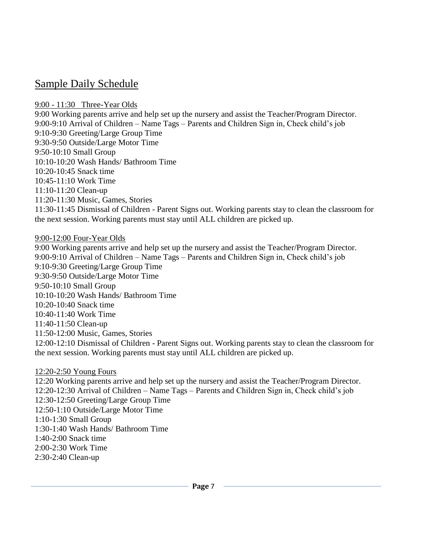## Sample Daily Schedule

#### 9:00 - 11:30 Three-Year Olds

9:00 Working parents arrive and help set up the nursery and assist the Teacher/Program Director. 9:00-9:10 Arrival of Children – Name Tags – Parents and Children Sign in, Check child's job 9:10-9:30 Greeting/Large Group Time 9:30-9:50 Outside/Large Motor Time 9:50-10:10 Small Group 10:10-10:20 Wash Hands/ Bathroom Time 10:20-10:45 Snack time 10:45-11:10 Work Time 11:10-11:20 Clean-up 11:20-11:30 Music, Games, Stories 11:30-11:45 Dismissal of Children - Parent Signs out. Working parents stay to clean the classroom for the next session. Working parents must stay until ALL children are picked up.

#### 9:00-12:00 Four-Year Olds

9:00 Working parents arrive and help set up the nursery and assist the Teacher/Program Director. 9:00-9:10 Arrival of Children – Name Tags – Parents and Children Sign in, Check child's job 9:10-9:30 Greeting/Large Group Time 9:30-9:50 Outside/Large Motor Time 9:50-10:10 Small Group 10:10-10:20 Wash Hands/ Bathroom Time 10:20-10:40 Snack time 10:40-11:40 Work Time 11:40-11:50 Clean-up 11:50-12:00 Music, Games, Stories 12:00-12:10 Dismissal of Children - Parent Signs out. Working parents stay to clean the classroom for the next session. Working parents must stay until ALL children are picked up.

#### 12:20-2:50 Young Fours

12:20 Working parents arrive and help set up the nursery and assist the Teacher/Program Director. 12:20-12:30 Arrival of Children – Name Tags – Parents and Children Sign in, Check child's job 12:30-12:50 Greeting/Large Group Time 12:50-1:10 Outside/Large Motor Time 1:10-1:30 Small Group 1:30-1:40 Wash Hands/ Bathroom Time 1:40-2:00 Snack time 2:00-2:30 Work Time 2:30-2:40 Clean-up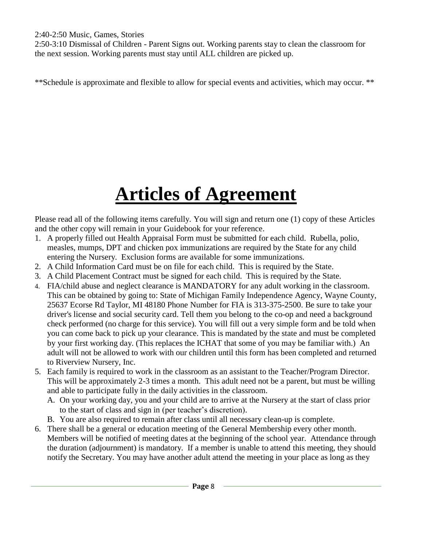2:40-2:50 Music, Games, Stories

2:50-3:10 Dismissal of Children - Parent Signs out. Working parents stay to clean the classroom for the next session. Working parents must stay until ALL children are picked up.

\*\*Schedule is approximate and flexible to allow for special events and activities, which may occur. \*\*

# **Articles of Agreement**

Please read all of the following items carefully. You will sign and return one (1) copy of these Articles and the other copy will remain in your Guidebook for your reference.

- 1. A properly filled out Health Appraisal Form must be submitted for each child. Rubella, polio, measles, mumps, DPT and chicken pox immunizations are required by the State for any child entering the Nursery. Exclusion forms are available for some immunizations.
- 2. A Child Information Card must be on file for each child. This is required by the State.
- 3. A Child Placement Contract must be signed for each child. This is required by the State.
- 4. FIA/child abuse and neglect clearance is MANDATORY for any adult working in the classroom. This can be obtained by going to: State of Michigan Family Independence Agency, Wayne County, 25637 Ecorse Rd Taylor, MI 48180 Phone Number for FIA is 313-375-2500. Be sure to take your driver's license and social security card. Tell them you belong to the co-op and need a background check performed (no charge for this service). You will fill out a very simple form and be told when you can come back to pick up your clearance. This is mandated by the state and must be completed by your first working day. (This replaces the ICHAT that some of you may be familiar with.) An adult will not be allowed to work with our children until this form has been completed and returned to Riverview Nursery, Inc.
- 5. Each family is required to work in the classroom as an assistant to the Teacher/Program Director. This will be approximately 2-3 times a month. This adult need not be a parent, but must be willing and able to participate fully in the daily activities in the classroom.
	- A. On your working day, you and your child are to arrive at the Nursery at the start of class prior to the start of class and sign in (per teacher's discretion).
	- B. You are also required to remain after class until all necessary clean-up is complete.
- 6. There shall be a general or education meeting of the General Membership every other month. Members will be notified of meeting dates at the beginning of the school year. Attendance through the duration (adjournment) is mandatory. If a member is unable to attend this meeting, they should notify the Secretary. You may have another adult attend the meeting in your place as long as they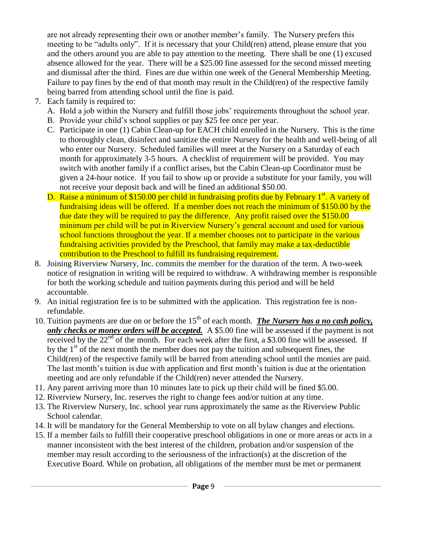are not already representing their own or another member's family. The Nursery prefers this meeting to be "adults only". If it is necessary that your Child(ren) attend, please ensure that you and the others around you are able to pay attention to the meeting. There shall be one (1) excused absence allowed for the year. There will be a \$25.00 fine assessed for the second missed meeting and dismissal after the third. Fines are due within one week of the General Membership Meeting. Failure to pay fines by the end of that month may result in the Child(ren) of the respective family being barred from attending school until the fine is paid.

- 7. Each family is required to:
	- A. Hold a job within the Nursery and fulfill those jobs' requirements throughout the school year.
	- B. Provide your child's school supplies or pay \$25 fee once per year.
	- C. Participate in one (1) Cabin Clean-up for EACH child enrolled in the Nursery. This is the time to thoroughly clean, disinfect and sanitize the entire Nursery for the health and well-being of all who enter our Nursery. Scheduled families will meet at the Nursery on a Saturday of each month for approximately 3-5 hours. A checklist of requirement will be provided. You may switch with another family if a conflict arises, but the Cabin Clean-up Coordinator must be given a 24-hour notice. If you fail to show up or provide a substitute for your family, you will not receive your deposit back and will be fined an additional \$50.00.
	- D. Raise a minimum of \$150.00 per child in fundraising profits due by February 1<sup>st</sup>. A variety of fundraising ideas will be offered. If a member does not reach the minimum of \$150.00 by the due date they will be required to pay the difference. Any profit raised over the \$150.00 minimum per child will be put in Riverview Nursery's general account and used for various school functions throughout the year. If a member chooses not to participate in the various fundraising activities provided by the Preschool, that family may make a tax-deductible contribution to the Preschool to fulfill its fundraising requirement.
- 8. Joining Riverview Nursery, Inc. commits the member for the duration of the term. A two-week notice of resignation in writing will be required to withdraw. A withdrawing member is responsible for both the working schedule and tuition payments during this period and will be held accountable.
- 9. An initial registration fee is to be submitted with the application. This registration fee is nonrefundable.
- 10. Tuition payments are due on or before the 15<sup>th</sup> of each month. *The Nursery has a no cash policy*, *only checks or money orders will be accepted.* A \$5.00 fine will be assessed if the payment is not received by the  $22<sup>nd</sup>$  of the month. For each week after the first, a \$3.00 fine will be assessed. If by the  $1<sup>st</sup>$  of the next month the member does not pay the tuition and subsequent fines, the Child(ren) of the respective family will be barred from attending school until the monies are paid. The last month's tuition is due with application and first month's tuition is due at the orientation meeting and are only refundable if the Child(ren) never attended the Nursery.
- 11. Any parent arriving more than 10 minutes late to pick up their child will be fined \$5.00.
- 12. Riverview Nursery, Inc. reserves the right to change fees and/or tuition at any time.
- 13. The Riverview Nursery, Inc. school year runs approximately the same as the Riverview Public School calendar.
- 14. It will be mandatory for the General Membership to vote on all bylaw changes and elections.
- 15. If a member fails to fulfill their cooperative preschool obligations in one or more areas or acts in a manner inconsistent with the best interest of the children, probation and/or suspension of the member may result according to the seriousness of the infraction(s) at the discretion of the Executive Board. While on probation, all obligations of the member must be met or permanent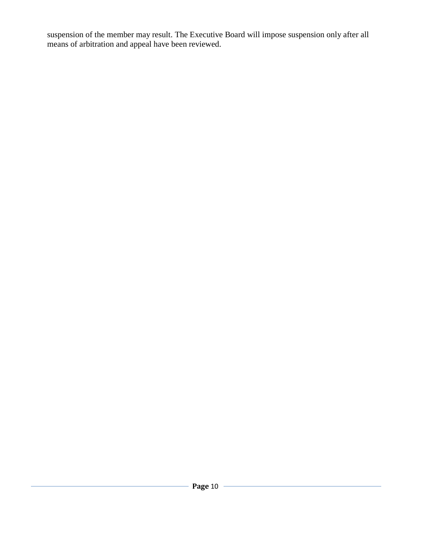suspension of the member may result. The Executive Board will impose suspension only after all means of arbitration and appeal have been reviewed.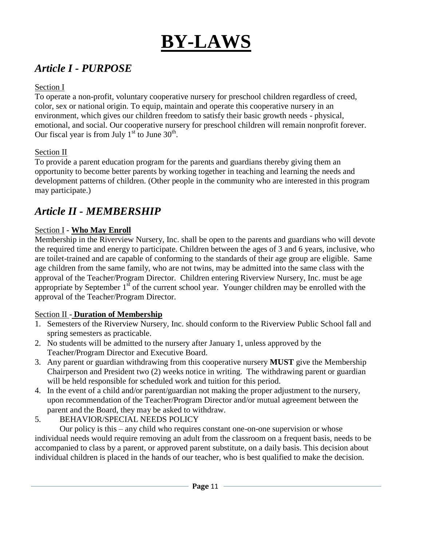# **BY-LAWS**

## *Article I - PURPOSE*

#### Section I

To operate a non-profit, voluntary cooperative nursery for preschool children regardless of creed, color, sex or national origin. To equip, maintain and operate this cooperative nursery in an environment, which gives our children freedom to satisfy their basic growth needs - physical, emotional, and social. Our cooperative nursery for preschool children will remain nonprofit forever. Our fiscal year is from July  $1<sup>st</sup>$  to June 30<sup>th</sup>.

## Section II

To provide a parent education program for the parents and guardians thereby giving them an opportunity to become better parents by working together in teaching and learning the needs and development patterns of children. (Other people in the community who are interested in this program may participate.)

## *Article II - MEMBERSHIP*

## Section I **- Who May Enroll**

Membership in the Riverview Nursery, Inc. shall be open to the parents and guardians who will devote the required time and energy to participate. Children between the ages of 3 and 6 years, inclusive, who are toilet-trained and are capable of conforming to the standards of their age group are eligible. Same age children from the same family, who are not twins, may be admitted into the same class with the approval of the Teacher/Program Director. Children entering Riverview Nursery, Inc. must be age appropriate by September  $1<sup>st</sup>$  of the current school year. Younger children may be enrolled with the approval of the Teacher/Program Director.

#### Section II - **Duration of Membership**

- 1. Semesters of the Riverview Nursery, Inc. should conform to the Riverview Public School fall and spring semesters as practicable.
- 2. No students will be admitted to the nursery after January 1, unless approved by the Teacher/Program Director and Executive Board.
- 3. Any parent or guardian withdrawing from this cooperative nursery **MUST** give the Membership Chairperson and President two (2) weeks notice in writing. The withdrawing parent or guardian will be held responsible for scheduled work and tuition for this period.
- 4. In the event of a child and/or parent/guardian not making the proper adjustment to the nursery, upon recommendation of the Teacher/Program Director and/or mutual agreement between the parent and the Board, they may be asked to withdraw.
- 5. BEHAVIOR/SPECIAL NEEDS POLICY

Our policy is this – any child who requires constant one-on-one supervision or whose individual needs would require removing an adult from the classroom on a frequent basis, needs to be accompanied to class by a parent, or approved parent substitute, on a daily basis. This decision about individual children is placed in the hands of our teacher, who is best qualified to make the decision.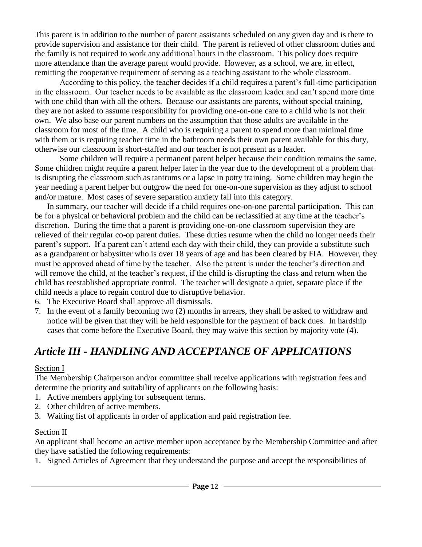This parent is in addition to the number of parent assistants scheduled on any given day and is there to provide supervision and assistance for their child. The parent is relieved of other classroom duties and the family is not required to work any additional hours in the classroom. This policy does require more attendance than the average parent would provide. However, as a school, we are, in effect, remitting the cooperative requirement of serving as a teaching assistant to the whole classroom.

According to this policy, the teacher decides if a child requires a parent's full-time participation in the classroom. Our teacher needs to be available as the classroom leader and can't spend more time with one child than with all the others. Because our assistants are parents, without special training, they are not asked to assume responsibility for providing one-on-one care to a child who is not their own. We also base our parent numbers on the assumption that those adults are available in the classroom for most of the time. A child who is requiring a parent to spend more than minimal time with them or is requiring teacher time in the bathroom needs their own parent available for this duty, otherwise our classroom is short-staffed and our teacher is not present as a leader.

Some children will require a permanent parent helper because their condition remains the same. Some children might require a parent helper later in the year due to the development of a problem that is disrupting the classroom such as tantrums or a lapse in potty training. Some children may begin the year needing a parent helper but outgrow the need for one-on-one supervision as they adjust to school and/or mature. Most cases of severe separation anxiety fall into this category.

In summary, our teacher will decide if a child requires one-on-one parental participation. This can be for a physical or behavioral problem and the child can be reclassified at any time at the teacher's discretion. During the time that a parent is providing one-on-one classroom supervision they are relieved of their regular co-op parent duties. These duties resume when the child no longer needs their parent's support. If a parent can't attend each day with their child, they can provide a substitute such as a grandparent or babysitter who is over 18 years of age and has been cleared by FIA. However, they must be approved ahead of time by the teacher. Also the parent is under the teacher's direction and will remove the child, at the teacher's request, if the child is disrupting the class and return when the child has reestablished appropriate control. The teacher will designate a quiet, separate place if the child needs a place to regain control due to disruptive behavior.

- 6. The Executive Board shall approve all dismissals.
- 7. In the event of a family becoming two (2) months in arrears, they shall be asked to withdraw and notice will be given that they will be held responsible for the payment of back dues. In hardship cases that come before the Executive Board, they may waive this section by majority vote (4).

# *Article III - HANDLING AND ACCEPTANCE OF APPLICATIONS*

#### Section I

The Membership Chairperson and/or committee shall receive applications with registration fees and determine the priority and suitability of applicants on the following basis:

- 1. Active members applying for subsequent terms.
- 2. Other children of active members.
- 3. Waiting list of applicants in order of application and paid registration fee.

#### Section II

An applicant shall become an active member upon acceptance by the Membership Committee and after they have satisfied the following requirements:

1. Signed Articles of Agreement that they understand the purpose and accept the responsibilities of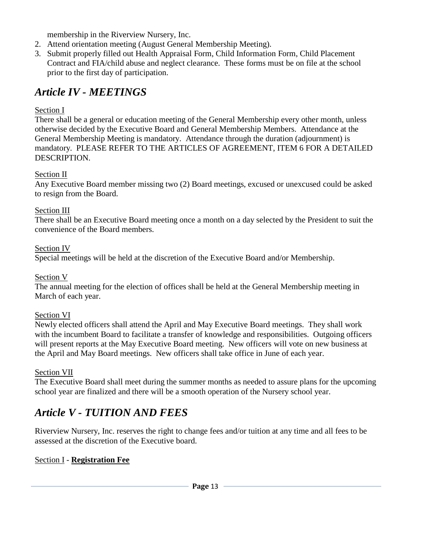membership in the Riverview Nursery, Inc.

- 2. Attend orientation meeting (August General Membership Meeting).
- 3. Submit properly filled out Health Appraisal Form, Child Information Form, Child Placement Contract and FIA/child abuse and neglect clearance. These forms must be on file at the school prior to the first day of participation.

## *Article IV - MEETINGS*

## Section I

There shall be a general or education meeting of the General Membership every other month, unless otherwise decided by the Executive Board and General Membership Members. Attendance at the General Membership Meeting is mandatory. Attendance through the duration (adjournment) is mandatory. PLEASE REFER TO THE ARTICLES OF AGREEMENT, ITEM 6 FOR A DETAILED DESCRIPTION.

## Section II

Any Executive Board member missing two (2) Board meetings, excused or unexcused could be asked to resign from the Board.

## Section III

There shall be an Executive Board meeting once a month on a day selected by the President to suit the convenience of the Board members.

#### Section IV

Special meetings will be held at the discretion of the Executive Board and/or Membership.

#### Section V

The annual meeting for the election of offices shall be held at the General Membership meeting in March of each year.

#### Section VI

Newly elected officers shall attend the April and May Executive Board meetings. They shall work with the incumbent Board to facilitate a transfer of knowledge and responsibilities. Outgoing officers will present reports at the May Executive Board meeting. New officers will vote on new business at the April and May Board meetings. New officers shall take office in June of each year.

#### Section VII

The Executive Board shall meet during the summer months as needed to assure plans for the upcoming school year are finalized and there will be a smooth operation of the Nursery school year.

## *Article V - TUITION AND FEES*

Riverview Nursery, Inc. reserves the right to change fees and/or tuition at any time and all fees to be assessed at the discretion of the Executive board.

## Section I - **Registration Fee**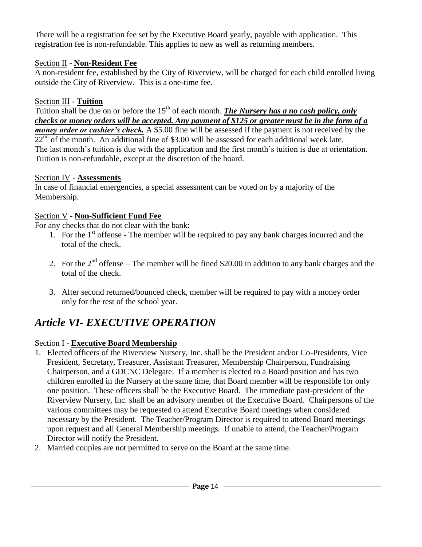There will be a registration fee set by the Executive Board yearly, payable with application. This registration fee is non-refundable. This applies to new as well as returning members.

## Section II - **Non-Resident Fee**

A non-resident fee, established by the City of Riverview, will be charged for each child enrolled living outside the City of Riverview. This is a one-time fee.

#### Section III - **Tuition**

Tuition shall be due on or before the 15<sup>th</sup> of each month. *The Nursery has a no cash policy, only checks or money orders will be accepted. Any payment of \$125 or greater must be in the form of a money order or cashier's check.* A \$5.00 fine will be assessed if the payment is not received by the  $22<sup>nd</sup>$  of the month. An additional fine of \$3.00 will be assessed for each additional week late. The last month's tuition is due with the application and the first month's tuition is due at orientation. Tuition is non-refundable, except at the discretion of the board.

#### Section IV - **Assessments**

In case of financial emergencies, a special assessment can be voted on by a majority of the Membership.

## Section V - **Non-Sufficient Fund Fee**

For any checks that do not clear with the bank:

- 1. For the  $1<sup>st</sup>$  offense The member will be required to pay any bank charges incurred and the total of the check.
- 2. For the  $2<sup>nd</sup>$  offense The member will be fined \$20.00 in addition to any bank charges and the total of the check.
- 3. After second returned/bounced check, member will be required to pay with a money order only for the rest of the school year.

# *Article VI- EXECUTIVE OPERATION*

## Section I - **Executive Board Membership**

- 1. Elected officers of the Riverview Nursery, Inc. shall be the President and/or Co-Presidents, Vice President, Secretary, Treasurer, Assistant Treasurer, Membership Chairperson, Fundraising Chairperson, and a GDCNC Delegate. If a member is elected to a Board position and has two children enrolled in the Nursery at the same time, that Board member will be responsible for only one position. These officers shall be the Executive Board. The immediate past-president of the Riverview Nursery, Inc. shall be an advisory member of the Executive Board. Chairpersons of the various committees may be requested to attend Executive Board meetings when considered necessary by the President. The Teacher/Program Director is required to attend Board meetings upon request and all General Membership meetings. If unable to attend, the Teacher/Program Director will notify the President.
- 2. Married couples are not permitted to serve on the Board at the same time.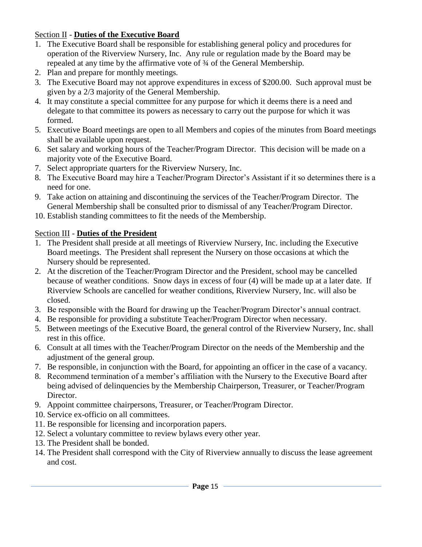### Section II - **Duties of the Executive Board**

- 1. The Executive Board shall be responsible for establishing general policy and procedures for operation of the Riverview Nursery, Inc. Any rule or regulation made by the Board may be repealed at any time by the affirmative vote of ¾ of the General Membership.
- 2. Plan and prepare for monthly meetings.
- 3. The Executive Board may not approve expenditures in excess of \$200.00. Such approval must be given by a 2/3 majority of the General Membership.
- 4. It may constitute a special committee for any purpose for which it deems there is a need and delegate to that committee its powers as necessary to carry out the purpose for which it was formed.
- 5. Executive Board meetings are open to all Members and copies of the minutes from Board meetings shall be available upon request.
- 6. Set salary and working hours of the Teacher/Program Director. This decision will be made on a majority vote of the Executive Board.
- 7. Select appropriate quarters for the Riverview Nursery, Inc.
- 8. The Executive Board may hire a Teacher/Program Director's Assistant if it so determines there is a need for one.
- 9. Take action on attaining and discontinuing the services of the Teacher/Program Director. The General Membership shall be consulted prior to dismissal of any Teacher/Program Director.
- 10. Establish standing committees to fit the needs of the Membership.

## Section III - **Duties of the President**

- 1. The President shall preside at all meetings of Riverview Nursery, Inc. including the Executive Board meetings. The President shall represent the Nursery on those occasions at which the Nursery should be represented.
- 2. At the discretion of the Teacher/Program Director and the President, school may be cancelled because of weather conditions. Snow days in excess of four (4) will be made up at a later date. If Riverview Schools are cancelled for weather conditions, Riverview Nursery, Inc. will also be closed.
- 3. Be responsible with the Board for drawing up the Teacher/Program Director's annual contract.
- 4. Be responsible for providing a substitute Teacher/Program Director when necessary.
- 5. Between meetings of the Executive Board, the general control of the Riverview Nursery, Inc. shall rest in this office.
- 6. Consult at all times with the Teacher/Program Director on the needs of the Membership and the adjustment of the general group.
- 7. Be responsible, in conjunction with the Board, for appointing an officer in the case of a vacancy.
- 8. Recommend termination of a member's affiliation with the Nursery to the Executive Board after being advised of delinquencies by the Membership Chairperson, Treasurer, or Teacher/Program Director.
- 9. Appoint committee chairpersons, Treasurer, or Teacher/Program Director.
- 10. Service ex-officio on all committees.
- 11. Be responsible for licensing and incorporation papers.
- 12. Select a voluntary committee to review bylaws every other year.
- 13. The President shall be bonded.
- 14. The President shall correspond with the City of Riverview annually to discuss the lease agreement and cost.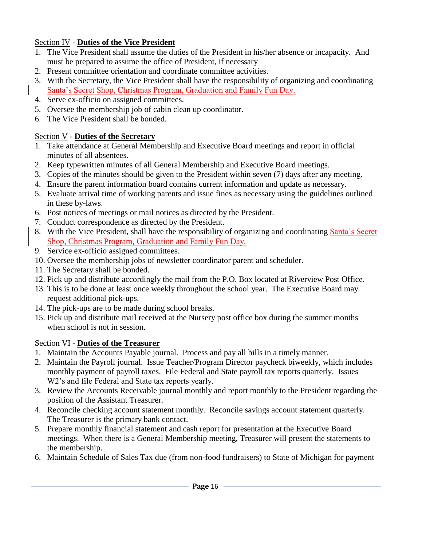## Section IV - **Duties of the Vice President**

- 1. The Vice President shall assume the duties of the President in his/her absence or incapacity. And must be prepared to assume the office of President, if necessary
- 2. Present committee orientation and coordinate committee activities.
- 3. With the Secretary, the Vice President shall have the responsibility of organizing and coordinating Santa's Secret Shop, Christmas Program, Graduation and Family Fun Day.
- 4. Serve ex-officio on assigned committees.
- 5. Oversee the membership job of cabin clean up coordinator.
- 6. The Vice President shall be bonded.

## Section V - **Duties of the Secretary**

- 1. Take attendance at General Membership and Executive Board meetings and report in official minutes of all absentees.
- 2. Keep typewritten minutes of all General Membership and Executive Board meetings.
- 3. Copies of the minutes should be given to the President within seven (7) days after any meeting.
- 4. Ensure the parent information board contains current information and update as necessary.
- 5. Evaluate arrival time of working parents and issue fines as necessary using the guidelines outlined in these by-laws.
- 6. Post notices of meetings or mail notices as directed by the President.
- 7. Conduct correspondence as directed by the President.
- 8. With the Vice President, shall have the responsibility of organizing and coordinating Santa's Secret Shop, Christmas Program, Graduation and Family Fun Day.
- 9. Service ex-officio assigned committees.
- 10. Oversee the membership jobs of newsletter coordinator parent and scheduler.
- 11. The Secretary shall be bonded.
- 12. Pick up and distribute accordingly the mail from the P.O. Box located at Riverview Post Office.
- 13. This is to be done at least once weekly throughout the school year. The Executive Board may request additional pick-ups.
- 14. The pick-ups are to be made during school breaks.
- 15. Pick up and distribute mail received at the Nursery post office box during the summer months when school is not in session.

## Section VI - **Duties of the Treasurer**

- 1. Maintain the Accounts Payable journal. Process and pay all bills in a timely manner.
- 2. Maintain the Payroll journal. Issue Teacher/Program Director paycheck biweekly, which includes monthly payment of payroll taxes. File Federal and State payroll tax reports quarterly. Issues W2's and file Federal and State tax reports yearly.
- 3. Review the Accounts Receivable journal monthly and report monthly to the President regarding the position of the Assistant Treasurer.
- 4. Reconcile checking account statement monthly. Reconcile savings account statement quarterly. The Treasurer is the primary bank contact.
- 5. Prepare monthly financial statement and cash report for presentation at the Executive Board meetings. When there is a General Membership meeting, Treasurer will present the statements to the membership.
- 6. Maintain Schedule of Sales Tax due (from non-food fundraisers) to State of Michigan for payment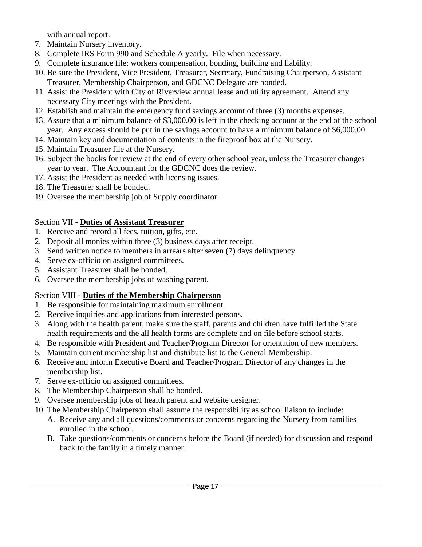with annual report.

- 7. Maintain Nursery inventory.
- 8. Complete IRS Form 990 and Schedule A yearly. File when necessary.
- 9. Complete insurance file; workers compensation, bonding, building and liability.
- 10. Be sure the President, Vice President, Treasurer, Secretary, Fundraising Chairperson, Assistant Treasurer, Membership Chairperson, and GDCNC Delegate are bonded.
- 11. Assist the President with City of Riverview annual lease and utility agreement. Attend any necessary City meetings with the President.
- 12. Establish and maintain the emergency fund savings account of three (3) months expenses.
- 13. Assure that a minimum balance of \$3,000.00 is left in the checking account at the end of the school year. Any excess should be put in the savings account to have a minimum balance of \$6,000.00.
- 14. Maintain key and documentation of contents in the fireproof box at the Nursery.
- 15. Maintain Treasurer file at the Nursery.
- 16. Subject the books for review at the end of every other school year, unless the Treasurer changes year to year. The Accountant for the GDCNC does the review.
- 17. Assist the President as needed with licensing issues.
- 18. The Treasurer shall be bonded.
- 19. Oversee the membership job of Supply coordinator.

## Section VII - **Duties of Assistant Treasurer**

- 1. Receive and record all fees, tuition, gifts, etc.
- 2. Deposit all monies within three (3) business days after receipt.
- 3. Send written notice to members in arrears after seven (7) days delinquency.
- 4. Serve ex-officio on assigned committees.
- 5. Assistant Treasurer shall be bonded.
- 6. Oversee the membership jobs of washing parent.

## Section VIII - **Duties of the Membership Chairperson**

- 1. Be responsible for maintaining maximum enrollment.
- 2. Receive inquiries and applications from interested persons.
- 3. Along with the health parent, make sure the staff, parents and children have fulfilled the State health requirements and the all health forms are complete and on file before school starts.
- 4. Be responsible with President and Teacher/Program Director for orientation of new members.
- 5. Maintain current membership list and distribute list to the General Membership.
- 6. Receive and inform Executive Board and Teacher/Program Director of any changes in the membership list.
- 7. Serve ex-officio on assigned committees.
- 8. The Membership Chairperson shall be bonded.
- 9. Oversee membership jobs of health parent and website designer.
- 10. The Membership Chairperson shall assume the responsibility as school liaison to include:
	- A. Receive any and all questions/comments or concerns regarding the Nursery from families enrolled in the school.
	- B. Take questions/comments or concerns before the Board (if needed) for discussion and respond back to the family in a timely manner.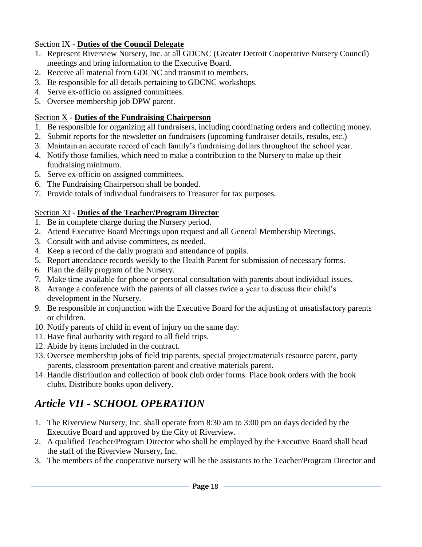## Section IX - **Duties of the Council Delegate**

- 1. Represent Riverview Nursery, Inc. at all GDCNC (Greater Detroit Cooperative Nursery Council) meetings and bring information to the Executive Board.
- 2. Receive all material from GDCNC and transmit to members.
- 3. Be responsible for all details pertaining to GDCNC workshops.
- 4. Serve ex-officio on assigned committees.
- 5. Oversee membership job DPW parent.

## Section X - **Duties of the Fundraising Chairperson**

- 1. Be responsible for organizing all fundraisers, including coordinating orders and collecting money.
- 2. Submit reports for the newsletter on fundraisers (upcoming fundraiser details, results, etc.)
- 3. Maintain an accurate record of each family's fundraising dollars throughout the school year.
- 4. Notify those families, which need to make a contribution to the Nursery to make up their fundraising minimum.
- 5. Serve ex-officio on assigned committees.
- 6. The Fundraising Chairperson shall be bonded.
- 7. Provide totals of individual fundraisers to Treasurer for tax purposes.

## Section XI - **Duties of the Teacher/Program Director**

- 1. Be in complete charge during the Nursery period.
- 2. Attend Executive Board Meetings upon request and all General Membership Meetings.
- 3. Consult with and advise committees, as needed.
- 4. Keep a record of the daily program and attendance of pupils.
- 5. Report attendance records weekly to the Health Parent for submission of necessary forms.
- 6. Plan the daily program of the Nursery.
- 7. Make time available for phone or personal consultation with parents about individual issues.
- 8. Arrange a conference with the parents of all classes twice a year to discuss their child's development in the Nursery.
- 9. Be responsible in conjunction with the Executive Board for the adjusting of unsatisfactory parents or children.
- 10. Notify parents of child in event of injury on the same day.
- 11. Have final authority with regard to all field trips.
- 12. Abide by items included in the contract.
- 13. Oversee membership jobs of field trip parents, special project/materials resource parent, party parents, classroom presentation parent and creative materials parent.
- 14. Handle distribution and collection of book club order forms. Place book orders with the book clubs. Distribute books upon delivery.

# *Article VII - SCHOOL OPERATION*

- 1. The Riverview Nursery, Inc. shall operate from 8:30 am to 3:00 pm on days decided by the Executive Board and approved by the City of Riverview.
- 2. A qualified Teacher/Program Director who shall be employed by the Executive Board shall head the staff of the Riverview Nursery, Inc.
- 3. The members of the cooperative nursery will be the assistants to the Teacher/Program Director and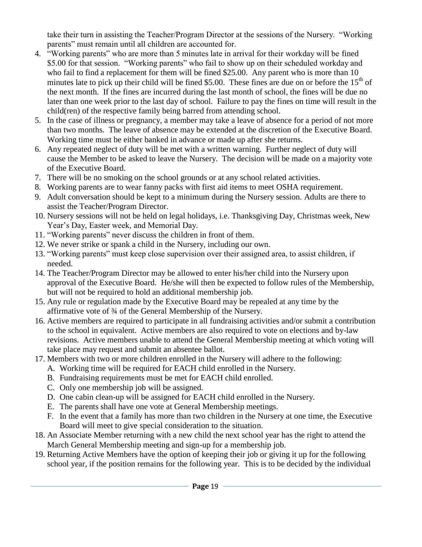take their turn in assisting the Teacher/Program Director at the sessions of the Nursery. "Working parents" must remain until all children are accounted for.

- 4. "Working parents" who are more than 5 minutes late in arrival for their workday will be fined \$5.00 for that session. "Working parents" who fail to show up on their scheduled workday and who fail to find a replacement for them will be fined \$25.00. Any parent who is more than 10 minutes late to pick up their child will be fined \$5.00. These fines are due on or before the  $15<sup>th</sup>$  of the next month. If the fines are incurred during the last month of school, the fines will be due no later than one week prior to the last day of school. Failure to pay the fines on time will result in the child(ren) of the respective family being barred from attending school.
- 5. In the case of illness or pregnancy, a member may take a leave of absence for a period of not more than two months. The leave of absence may be extended at the discretion of the Executive Board. Working time must be either banked in advance or made up after she returns.
- 6. Any repeated neglect of duty will be met with a written warning. Further neglect of duty will cause the Member to be asked to leave the Nursery. The decision will be made on a majority vote of the Executive Board.
- 7. There will be no smoking on the school grounds or at any school related activities.
- 8. Working parents are to wear fanny packs with first aid items to meet OSHA requirement.
- 9. Adult conversation should be kept to a minimum during the Nursery session. Adults are there to assist the Teacher/Program Director.
- 10. Nursery sessions will not be held on legal holidays, i.e. Thanksgiving Day, Christmas week, New Year's Day, Easter week, and Memorial Day.
- 11. "Working parents" never discuss the children in front of them.
- 12. We never strike or spank a child in the Nursery, including our own.
- 13. "Working parents" must keep close supervision over their assigned area, to assist children, if needed.
- 14. The Teacher/Program Director may be allowed to enter his/her child into the Nursery upon approval of the Executive Board. He/she will then be expected to follow rules of the Membership, but will not be required to hold an additional membership job.
- 15. Any rule or regulation made by the Executive Board may be repealed at any time by the affirmative vote of ¾ of the General Membership of the Nursery.
- 16. Active members are required to participate in all fundraising activities and/or submit a contribution to the school in equivalent. Active members are also required to vote on elections and by-law revisions. Active members unable to attend the General Membership meeting at which voting will take place may request and submit an absentee ballot.
- 17. Members with two or more children enrolled in the Nursery will adhere to the following:
	- A. Working time will be required for EACH child enrolled in the Nursery.
	- B. Fundraising requirements must be met for EACH child enrolled.
	- C. Only one membership job will be assigned.
	- D. One cabin clean-up will be assigned for EACH child enrolled in the Nursery.
	- E. The parents shall have one vote at General Membership meetings.
	- F. In the event that a family has more than two children in the Nursery at one time, the Executive Board will meet to give special consideration to the situation.
- 18. An Associate Member returning with a new child the next school year has the right to attend the March General Membership meeting and sign-up for a membership job.
- 19. Returning Active Members have the option of keeping their job or giving it up for the following school year, if the position remains for the following year. This is to be decided by the individual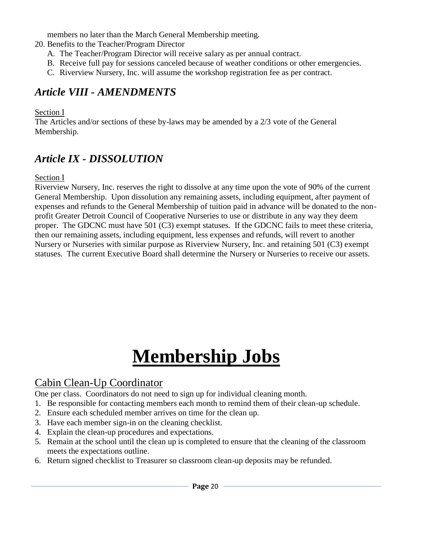members no later than the March General Membership meeting.

20. Benefits to the Teacher/Program Director

- A. The Teacher/Program Director will receive salary as per annual contract.
- B. Receive full pay for sessions canceled because of weather conditions or other emergencies.
- C. Riverview Nursery, Inc. will assume the workshop registration fee as per contract.

## *Article VIII - AMENDMENTS*

Section I

The Articles and/or sections of these by-laws may be amended by a 2/3 vote of the General Membership.

# *Article IX - DISSOLUTION*

## Section I

Riverview Nursery, Inc. reserves the right to dissolve at any time upon the vote of 90% of the current General Membership. Upon dissolution any remaining assets, including equipment, after payment of expenses and refunds to the General Membership of tuition paid in advance will be donated to the nonprofit Greater Detroit Council of Cooperative Nurseries to use or distribute in any way they deem proper. The GDCNC must have 501 (C3) exempt statuses. If the GDCNC fails to meet these criteria, then our remaining assets, including equipment, less expenses and refunds, will revert to another Nursery or Nurseries with similar purpose as Riverview Nursery, Inc. and retaining 501 (C3) exempt statuses. The current Executive Board shall determine the Nursery or Nurseries to receive our assets.

# **Membership Jobs**

# Cabin Clean-Up Coordinator

One per class. Coordinators do not need to sign up for individual cleaning month.

- 1. Be responsible for contacting members each month to remind them of their clean-up schedule.
- 2. Ensure each scheduled member arrives on time for the clean up.
- 3. Have each member sign-in on the cleaning checklist.
- 4. Explain the clean-up procedures and expectations.
- 5. Remain at the school until the clean up is completed to ensure that the cleaning of the classroom meets the expectations outline.
- 6. Return signed checklist to Treasurer so classroom clean-up deposits may be refunded.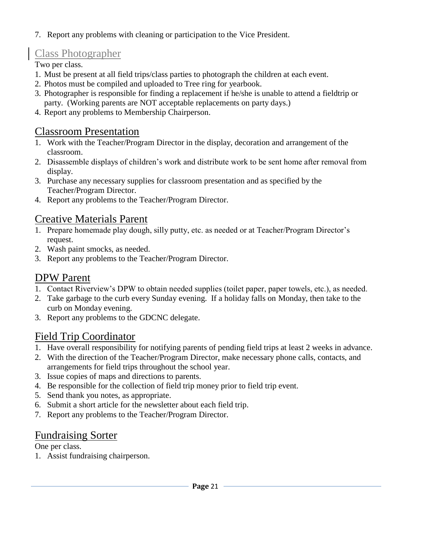7. Report any problems with cleaning or participation to the Vice President.

# Class Photographer

Two per class.

- 1. Must be present at all field trips/class parties to photograph the children at each event.
- 2. Photos must be compiled and uploaded to Tree ring for yearbook.
- 3. Photographer is responsible for finding a replacement if he/she is unable to attend a fieldtrip or party. (Working parents are NOT acceptable replacements on party days.)
- 4. Report any problems to Membership Chairperson.

# Classroom Presentation

- 1. Work with the Teacher/Program Director in the display, decoration and arrangement of the classroom.
- 2. Disassemble displays of children's work and distribute work to be sent home after removal from display.
- 3. Purchase any necessary supplies for classroom presentation and as specified by the Teacher/Program Director.
- 4. Report any problems to the Teacher/Program Director.

# Creative Materials Parent

- 1. Prepare homemade play dough, silly putty, etc. as needed or at Teacher/Program Director's request.
- 2. Wash paint smocks, as needed.
- 3. Report any problems to the Teacher/Program Director.

# DPW Parent

- 1. Contact Riverview's DPW to obtain needed supplies (toilet paper, paper towels, etc.), as needed.
- 2. Take garbage to the curb every Sunday evening. If a holiday falls on Monday, then take to the curb on Monday evening.
- 3. Report any problems to the GDCNC delegate.

# Field Trip Coordinator

- 1. Have overall responsibility for notifying parents of pending field trips at least 2 weeks in advance.
- 2. With the direction of the Teacher/Program Director, make necessary phone calls, contacts, and arrangements for field trips throughout the school year.
- 3. Issue copies of maps and directions to parents.
- 4. Be responsible for the collection of field trip money prior to field trip event.
- 5. Send thank you notes, as appropriate.
- 6. Submit a short article for the newsletter about each field trip.
- 7. Report any problems to the Teacher/Program Director.

# Fundraising Sorter

One per class.

1. Assist fundraising chairperson.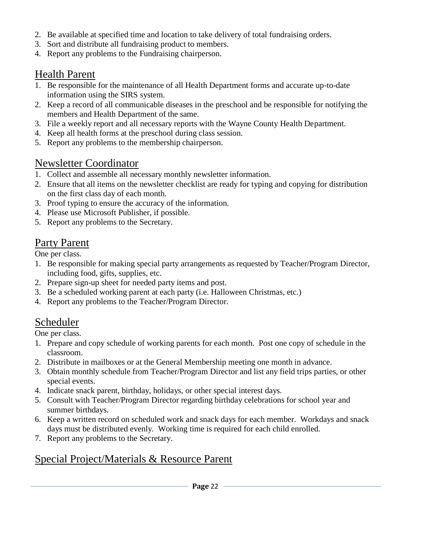- 2. Be available at specified time and location to take delivery of total fundraising orders.
- 3. Sort and distribute all fundraising product to members.
- 4. Report any problems to the Fundraising chairperson.

## Health Parent

- 1. Be responsible for the maintenance of all Health Department forms and accurate up-to-date information using the SIRS system.
- 2. Keep a record of all communicable diseases in the preschool and be responsible for notifying the members and Health Department of the same.
- 3. File a weekly report and all necessary reports with the Wayne County Health Department.
- 4. Keep all health forms at the preschool during class session.
- 5. Report any problems to the membership chairperson.

## Newsletter Coordinator

- 1. Collect and assemble all necessary monthly newsletter information.
- 2. Ensure that all items on the newsletter checklist are ready for typing and copying for distribution on the first class day of each month.
- 3. Proof typing to ensure the accuracy of the information.
- 4. Please use Microsoft Publisher, if possible.
- 5. Report any problems to the Secretary.

## Party Parent

One per class.

- 1. Be responsible for making special party arrangements as requested by Teacher/Program Director, including food, gifts, supplies, etc.
- 2. Prepare sign-up sheet for needed party items and post.
- 3. Be a scheduled working parent at each party (i.e. Halloween Christmas, etc.)
- 4. Report any problems to the Teacher/Program Director.

## Scheduler

One per class.

- 1. Prepare and copy schedule of working parents for each month. Post one copy of schedule in the classroom.
- 2. Distribute in mailboxes or at the General Membership meeting one month in advance.
- 3. Obtain monthly schedule from Teacher/Program Director and list any field trips parties, or other special events.
- 4. Indicate snack parent, birthday, holidays, or other special interest days.
- 5. Consult with Teacher/Program Director regarding birthday celebrations for school year and summer birthdays.
- 6. Keep a written record on scheduled work and snack days for each member. Workdays and snack days must be distributed evenly. Working time is required for each child enrolled.
- 7. Report any problems to the Secretary.

## Special Project/Materials & Resource Parent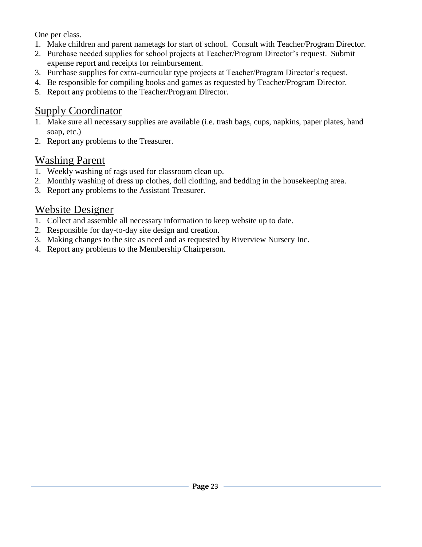One per class.

- 1. Make children and parent nametags for start of school. Consult with Teacher/Program Director.
- 2. Purchase needed supplies for school projects at Teacher/Program Director's request. Submit expense report and receipts for reimbursement.
- 3. Purchase supplies for extra-curricular type projects at Teacher/Program Director's request.
- 4. Be responsible for compiling books and games as requested by Teacher/Program Director.
- 5. Report any problems to the Teacher/Program Director.

# Supply Coordinator

- 1. Make sure all necessary supplies are available (i.e. trash bags, cups, napkins, paper plates, hand soap, etc.)
- 2. Report any problems to the Treasurer.

# Washing Parent

- 1. Weekly washing of rags used for classroom clean up.
- 2. Monthly washing of dress up clothes, doll clothing, and bedding in the housekeeping area.
- 3. Report any problems to the Assistant Treasurer.

# Website Designer

- 1. Collect and assemble all necessary information to keep website up to date.
- 2. Responsible for day-to-day site design and creation.
- 3. Making changes to the site as need and as requested by Riverview Nursery Inc.
- 4. Report any problems to the Membership Chairperson.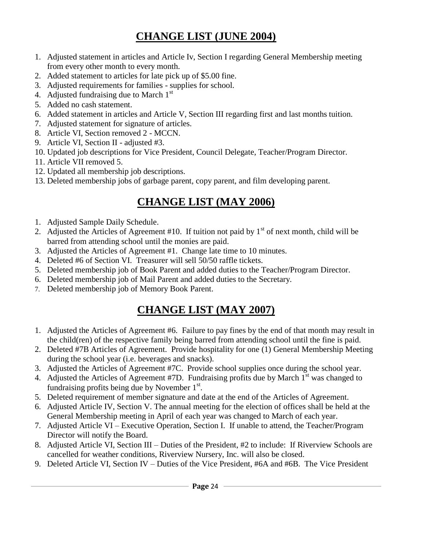# **CHANGE LIST (JUNE 2004)**

- 1. Adjusted statement in articles and Article Iv, Section I regarding General Membership meeting from every other month to every month.
- 2. Added statement to articles for late pick up of \$5.00 fine.
- 3. Adjusted requirements for families supplies for school.
- 4. Adjusted fundraising due to March  $1<sup>st</sup>$
- 5. Added no cash statement.
- 6. Added statement in articles and Article V, Section III regarding first and last months tuition.
- 7. Adjusted statement for signature of articles.
- 8. Article VI, Section removed 2 MCCN.
- 9. Article VI, Section II adjusted #3.
- 10. Updated job descriptions for Vice President, Council Delegate, Teacher/Program Director.
- 11. Article VII removed 5.
- 12. Updated all membership job descriptions.
- 13. Deleted membership jobs of garbage parent, copy parent, and film developing parent.

# **CHANGE LIST (MAY 2006)**

- 1. Adjusted Sample Daily Schedule.
- 2. Adjusted the Articles of Agreement #10. If tuition not paid by  $1<sup>st</sup>$  of next month, child will be barred from attending school until the monies are paid.
- 3. Adjusted the Articles of Agreement #1. Change late time to 10 minutes.
- 4. Deleted #6 of Section VI. Treasurer will sell 50/50 raffle tickets.
- 5. Deleted membership job of Book Parent and added duties to the Teacher/Program Director.
- 6. Deleted membership job of Mail Parent and added duties to the Secretary.
- 7. Deleted membership job of Memory Book Parent.

# **CHANGE LIST (MAY 2007)**

- 1. Adjusted the Articles of Agreement #6. Failure to pay fines by the end of that month may result in the child(ren) of the respective family being barred from attending school until the fine is paid.
- 2. Deleted #7B Articles of Agreement. Provide hospitality for one (1) General Membership Meeting during the school year (i.e. beverages and snacks).
- 3. Adjusted the Articles of Agreement #7C. Provide school supplies once during the school year.
- 4. Adjusted the Articles of Agreement #7D. Fundraising profits due by March  $1<sup>st</sup>$  was changed to fundraising profits being due by November  $1<sup>st</sup>$ .
- 5. Deleted requirement of member signature and date at the end of the Articles of Agreement.
- 6. Adjusted Article IV, Section V. The annual meeting for the election of offices shall be held at the General Membership meeting in April of each year was changed to March of each year.
- 7. Adjusted Article VI Executive Operation, Section I. If unable to attend, the Teacher/Program Director will notify the Board.
- 8. Adjusted Article VI, Section III Duties of the President, #2 to include: If Riverview Schools are cancelled for weather conditions, Riverview Nursery, Inc. will also be closed.
- 9. Deleted Article VI, Section IV Duties of the Vice President, #6A and #6B. The Vice President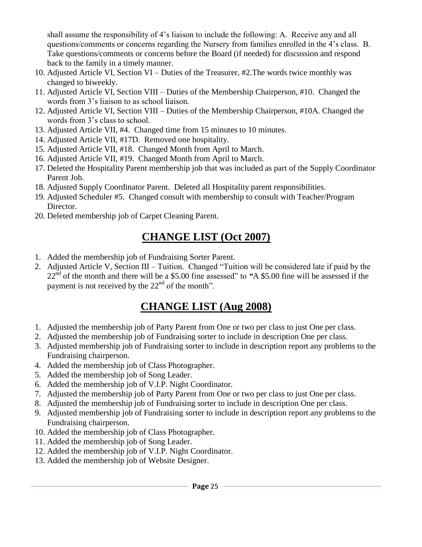shall assume the responsibility of 4's liaison to include the following: A. Receive any and all questions/comments or concerns regarding the Nursery from families enrolled in the 4's class. B. Take questions/comments or concerns before the Board (if needed) for discussion and respond back to the family in a timely manner.

- 10. Adjusted Article VI, Section VI Duties of the Treasurer, #2.The words twice monthly was changed to biweekly.
- 11. Adjusted Article VI, Section VIII Duties of the Membership Chairperson, #10. Changed the words from 3's liaison to as school liaison.
- 12. Adjusted Article VI, Section VIII Duties of the Membership Chairperson, #10A. Changed the words from 3's class to school.
- 13. Adjusted Article VII, #4. Changed time from 15 minutes to 10 minutes.
- 14. Adjusted Article VII, #17D. Removed one hospitality.
- 15. Adjusted Article VII, #18. Changed Month from April to March.
- 16. Adjusted Article VII, #19. Changed Month from April to March.
- 17. Deleted the Hospitality Parent membership job that was included as part of the Supply Coordinator Parent Job.
- 18. Adjusted Supply Coordinator Parent. Deleted all Hospitality parent responsibilities.
- 19. Adjusted Scheduler #5. Changed consult with membership to consult with Teacher/Program Director.
- 20. Deleted membership job of Carpet Cleaning Parent.

# **CHANGE LIST (Oct 2007)**

- 1. Added the membership job of Fundraising Sorter Parent.
- 2. Adjusted Article V, Section III Tuition. Changed "Tuition will be considered late if paid by the 22nd of the month and there will be a \$5.00 fine assessed" to *"*A \$5.00 fine will be assessed if the payment is not received by the  $22<sup>nd</sup>$  of the month".

# **CHANGE LIST (Aug 2008)**

- 1. Adjusted the membership job of Party Parent from One or two per class to just One per class.
- 2. Adjusted the membership job of Fundraising sorter to include in description One per class.
- 3. Adjusted membership job of Fundraising sorter to include in description report any problems to the Fundraising chairperson.
- 4. Added the membership job of Class Photographer.
- 5. Added the membership job of Song Leader.
- 6. Added the membership job of V.I.P. Night Coordinator.
- 7. Adjusted the membership job of Party Parent from One or two per class to just One per class.
- 8. Adjusted the membership job of Fundraising sorter to include in description One per class.
- 9. Adjusted membership job of Fundraising sorter to include in description report any problems to the Fundraising chairperson.
- 10. Added the membership job of Class Photographer.
- 11. Added the membership job of Song Leader.
- 12. Added the membership job of V.I.P. Night Coordinator.
- 13. Added the membership job of Website Designer.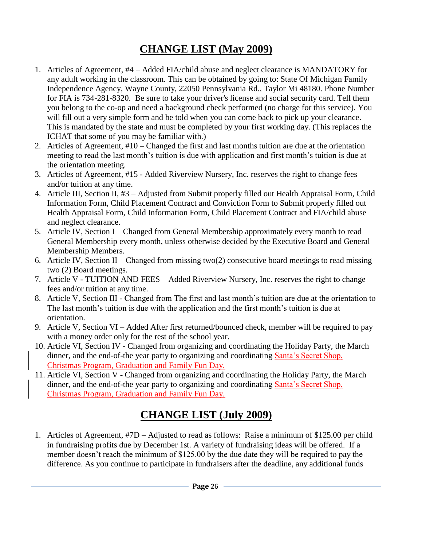# **CHANGE LIST (May 2009)**

- 1. Articles of Agreement, #4 Added FIA/child abuse and neglect clearance is MANDATORY for any adult working in the classroom. This can be obtained by going to: State Of Michigan Family Independence Agency, Wayne County, 22050 Pennsylvania Rd., Taylor Mi 48180. Phone Number for FIA is 734-281-8320. Be sure to take your driver's license and social security card. Tell them you belong to the co-op and need a background check performed (no charge for this service). You will fill out a very simple form and be told when you can come back to pick up your clearance. This is mandated by the state and must be completed by your first working day. (This replaces the ICHAT that some of you may be familiar with.)
- 2. Articles of Agreement, #10 Changed the first and last months tuition are due at the orientation meeting to read the last month's tuition is due with application and first month's tuition is due at the orientation meeting.
- 3. Articles of Agreement, #15 Added Riverview Nursery, Inc. reserves the right to change fees and/or tuition at any time.
- 4. Article III, Section II, #3 Adjusted from Submit properly filled out Health Appraisal Form, Child Information Form, Child Placement Contract and Conviction Form to Submit properly filled out Health Appraisal Form, Child Information Form, Child Placement Contract and FIA/child abuse and neglect clearance.
- 5. Article IV, Section I Changed from General Membership approximately every month to read General Membership every month, unless otherwise decided by the Executive Board and General Membership Members.
- 6. Article IV, Section II Changed from missing two(2) consecutive board meetings to read missing two (2) Board meetings.
- 7. Article V TUITION AND FEES Added Riverview Nursery, Inc. reserves the right to change fees and/or tuition at any time.
- 8. Article V, Section III Changed from The first and last month's tuition are due at the orientation to The last month's tuition is due with the application and the first month's tuition is due at orientation.
- 9. Article V, Section VI Added After first returned/bounced check, member will be required to pay with a money order only for the rest of the school year.
- 10. Article VI, Section IV Changed from organizing and coordinating the Holiday Party, the March dinner, and the end-of-the year party to organizing and coordinating Santa's Secret Shop, Christmas Program, Graduation and Family Fun Day.
- 11. Article VI, Section V Changed from organizing and coordinating the Holiday Party, the March dinner, and the end-of-the year party to organizing and coordinating Santa's Secret Shop, Christmas Program, Graduation and Family Fun Day.

# **CHANGE LIST (July 2009)**

1. Articles of Agreement, #7D – Adjusted to read as follows: Raise a minimum of \$125.00 per child in fundraising profits due by December 1st. A variety of fundraising ideas will be offered. If a member doesn't reach the minimum of \$125.00 by the due date they will be required to pay the difference. As you continue to participate in fundraisers after the deadline, any additional funds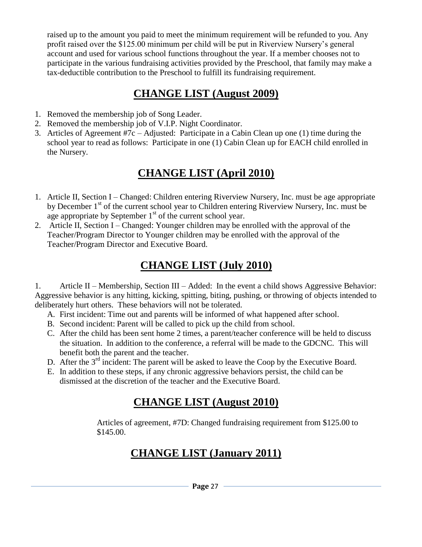raised up to the amount you paid to meet the minimum requirement will be refunded to you. Any profit raised over the \$125.00 minimum per child will be put in Riverview Nursery's general account and used for various school functions throughout the year. If a member chooses not to participate in the various fundraising activities provided by the Preschool, that family may make a tax-deductible contribution to the Preschool to fulfill its fundraising requirement.

# **CHANGE LIST (August 2009)**

- 1. Removed the membership job of Song Leader.
- 2. Removed the membership job of V.I.P. Night Coordinator.
- 3. Articles of Agreement #7c Adjusted: Participate in a Cabin Clean up one (1) time during the school year to read as follows: Participate in one (1) Cabin Clean up for EACH child enrolled in the Nursery.

# **CHANGE LIST (April 2010)**

- 1. Article II, Section I Changed: Children entering Riverview Nursery, Inc. must be age appropriate by December 1<sup>st</sup> of the current school year to Children entering Riverview Nursery, Inc. must be age appropriate by September  $1<sup>st</sup>$  of the current school year.
- 2. Article II, Section I Changed: Younger children may be enrolled with the approval of the Teacher/Program Director to Younger children may be enrolled with the approval of the Teacher/Program Director and Executive Board.

# **CHANGE LIST (July 2010)**

1. Article II – Membership, Section III – Added: In the event a child shows Aggressive Behavior: Aggressive behavior is any hitting, kicking, spitting, biting, pushing, or throwing of objects intended to deliberately hurt others. These behaviors will not be tolerated.

- A. First incident: Time out and parents will be informed of what happened after school.
- B. Second incident: Parent will be called to pick up the child from school.
- C. After the child has been sent home 2 times, a parent/teacher conference will be held to discuss the situation. In addition to the conference, a referral will be made to the GDCNC. This will benefit both the parent and the teacher.
- D. After the 3<sup>rd</sup> incident: The parent will be asked to leave the Coop by the Executive Board.
- E. In addition to these steps, if any chronic aggressive behaviors persist, the child can be dismissed at the discretion of the teacher and the Executive Board.

# **CHANGE LIST (August 2010)**

Articles of agreement, #7D: Changed fundraising requirement from \$125.00 to \$145.00.

# **CHANGE LIST (January 2011)**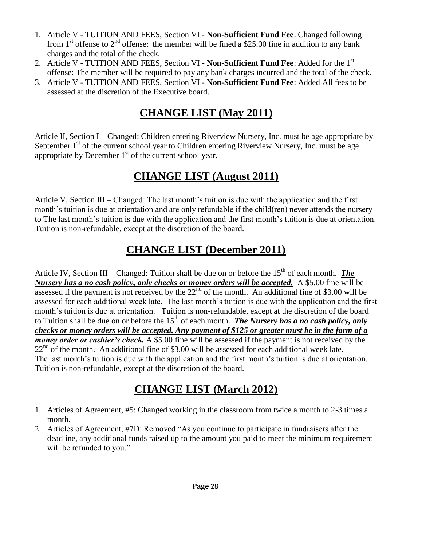- 1. Article V TUITION AND FEES, Section VI **Non-Sufficient Fund Fee**: Changed following from 1<sup>st</sup> offense to 2<sup>nd</sup> offense: the member will be fined a \$25.00 fine in addition to any bank charges and the total of the check.
- 2. Article V TUITION AND FEES, Section VI **Non-Sufficient Fund Fee**: Added for the 1st offense: The member will be required to pay any bank charges incurred and the total of the check.
- 3. Article V TUITION AND FEES, Section VI **Non-Sufficient Fund Fee**: Added All fees to be assessed at the discretion of the Executive board.

# **CHANGE LIST (May 2011)**

Article II, Section I – Changed: Children entering Riverview Nursery, Inc. must be age appropriate by September  $1<sup>st</sup>$  of the current school year to Children entering Riverview Nursery, Inc. must be age appropriate by December  $1<sup>st</sup>$  of the current school year.

# **CHANGE LIST (August 2011)**

Article V, Section III – Changed: The last month's tuition is due with the application and the first month's tuition is due at orientation and are only refundable if the child(ren) never attends the nursery to The last month's tuition is due with the application and the first month's tuition is due at orientation. Tuition is non-refundable, except at the discretion of the board.

# **CHANGE LIST (December 2011)**

Article IV, Section III – Changed: Tuition shall be due on or before the 15<sup>th</sup> of each month. *The Nursery has a no cash policy, only checks or money orders will be accepted.* A \$5.00 fine will be assessed if the payment is not received by the  $22<sup>nd</sup>$  of the month. An additional fine of \$3.00 will be assessed for each additional week late. The last month's tuition is due with the application and the first month's tuition is due at orientation. Tuition is non-refundable, except at the discretion of the board to Tuition shall be due on or before the 15<sup>th</sup> of each month. **The Nursery has a no cash policy, only** *checks or money orders will be accepted. Any payment of \$125 or greater must be in the form of a money order or cashier's check.* A \$5.00 fine will be assessed if the payment is not received by the  $22<sup>nd</sup>$  of the month. An additional fine of \$3.00 will be assessed for each additional week late. The last month's tuition is due with the application and the first month's tuition is due at orientation. Tuition is non-refundable, except at the discretion of the board.

# **CHANGE LIST (March 2012)**

- 1. Articles of Agreement, #5: Changed working in the classroom from twice a month to 2-3 times a month.
- 2. Articles of Agreement, #7D: Removed "As you continue to participate in fundraisers after the deadline, any additional funds raised up to the amount you paid to meet the minimum requirement will be refunded to you."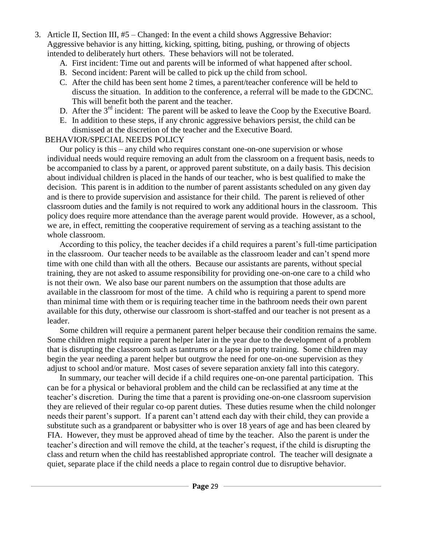- 3. Article II, Section III, #5 Changed: In the event a child shows Aggressive Behavior: Aggressive behavior is any hitting, kicking, spitting, biting, pushing, or throwing of objects intended to deliberately hurt others. These behaviors will not be tolerated.
	- A. First incident: Time out and parents will be informed of what happened after school.
	- B. Second incident: Parent will be called to pick up the child from school.
	- C. After the child has been sent home 2 times, a parent/teacher conference will be held to discuss the situation. In addition to the conference, a referral will be made to the GDCNC. This will benefit both the parent and the teacher.
	- D. After the 3<sup>rd</sup> incident: The parent will be asked to leave the Coop by the Executive Board.
	- E. In addition to these steps, if any chronic aggressive behaviors persist, the child can be dismissed at the discretion of the teacher and the Executive Board.

## BEHAVIOR/SPECIAL NEEDS POLICY

 Our policy is this – any child who requires constant one-on-one supervision or whose individual needs would require removing an adult from the classroom on a frequent basis, needs to be accompanied to class by a parent, or approved parent substitute, on a daily basis. This decision about individual children is placed in the hands of our teacher, who is best qualified to make the decision. This parent is in addition to the number of parent assistants scheduled on any given day and is there to provide supervision and assistance for their child. The parent is relieved of other classroom duties and the family is not required to work any additional hours in the classroom. This policy does require more attendance than the average parent would provide. However, as a school, we are, in effect, remitting the cooperative requirement of serving as a teaching assistant to the whole classroom.

According to this policy, the teacher decides if a child requires a parent's full-time participation in the classroom. Our teacher needs to be available as the classroom leader and can't spend more time with one child than with all the others. Because our assistants are parents, without special training, they are not asked to assume responsibility for providing one-on-one care to a child who is not their own. We also base our parent numbers on the assumption that those adults are available in the classroom for most of the time. A child who is requiring a parent to spend more than minimal time with them or is requiring teacher time in the bathroom needs their own parent available for this duty, otherwise our classroom is short-staffed and our teacher is not present as a leader.

Some children will require a permanent parent helper because their condition remains the same. Some children might require a parent helper later in the year due to the development of a problem that is disrupting the classroom such as tantrums or a lapse in potty training. Some children may begin the year needing a parent helper but outgrow the need for one-on-one supervision as they adjust to school and/or mature. Most cases of severe separation anxiety fall into this category.

In summary, our teacher will decide if a child requires one-on-one parental participation. This can be for a physical or behavioral problem and the child can be reclassified at any time at the teacher's discretion. During the time that a parent is providing one-on-one classroom supervision they are relieved of their regular co-op parent duties. These duties resume when the child nolonger needs their parent's support. If a parent can't attend each day with their child, they can provide a substitute such as a grandparent or babysitter who is over 18 years of age and has been cleared by FIA. However, they must be approved ahead of time by the teacher. Also the parent is under the teacher's direction and will remove the child, at the teacher's request, if the child is disrupting the class and return when the child has reestablished appropriate control. The teacher will designate a quiet, separate place if the child needs a place to regain control due to disruptive behavior.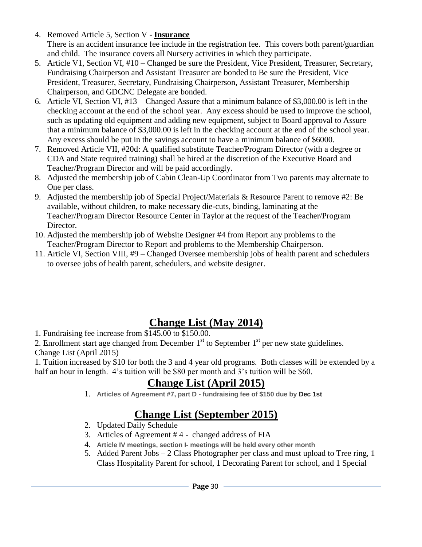4. Removed Article 5, Section V - **Insurance**

 There is an accident insurance fee include in the registration fee. This covers both parent/guardian and child. The insurance covers all Nursery activities in which they participate.

- 5. Article V1, Section VI, #10 Changed be sure the President, Vice President, Treasurer, Secretary, Fundraising Chairperson and Assistant Treasurer are bonded to Be sure the President, Vice President, Treasurer, Secretary, Fundraising Chairperson, Assistant Treasurer, Membership Chairperson, and GDCNC Delegate are bonded.
- 6. Article VI, Section VI, #13 Changed Assure that a minimum balance of \$3,000.00 is left in the checking account at the end of the school year. Any excess should be used to improve the school, such as updating old equipment and adding new equipment, subject to Board approval to Assure that a minimum balance of \$3,000.00 is left in the checking account at the end of the school year. Any excess should be put in the savings account to have a minimum balance of \$6000.
- 7. Removed Article VII, #20d: A qualified substitute Teacher/Program Director (with a degree or CDA and State required training) shall be hired at the discretion of the Executive Board and Teacher/Program Director and will be paid accordingly.
- 8. Adjusted the membership job of Cabin Clean-Up Coordinator from Two parents may alternate to One per class.
- 9. Adjusted the membership job of Special Project/Materials & Resource Parent to remove #2: Be available, without children, to make necessary die-cuts, binding, laminating at the Teacher/Program Director Resource Center in Taylor at the request of the Teacher/Program Director.
- 10. Adjusted the membership job of Website Designer #4 from Report any problems to the Teacher/Program Director to Report and problems to the Membership Chairperson.
- 11. Article VI, Section VIII, #9 Changed Oversee membership jobs of health parent and schedulers to oversee jobs of health parent, schedulers, and website designer.

# **Change List (May 2014)**

1. Fundraising fee increase from \$145.00 to \$150.00.

2. Enrollment start age changed from December  $1<sup>st</sup>$  to September  $1<sup>st</sup>$  per new state guidelines. Change List (April 2015)

1. Tuition increased by \$10 for both the 3 and 4 year old programs. Both classes will be extended by a half an hour in length. 4's tuition will be \$80 per month and 3's tuition will be \$60.

# **Change List (April 2015)**

1. **Articles of Agreement #7, part D - fundraising fee of \$150 due by Dec 1st**

# **Change List (September 2015)**

- 2. Updated Daily Schedule
- 3. Articles of Agreement # 4 changed address of FIA
- 4. **Article IV meetings, section I- meetings will be held every other month**
- 5. Added Parent Jobs 2 Class Photographer per class and must upload to Tree ring, 1 Class Hospitality Parent for school, 1 Decorating Parent for school, and 1 Special